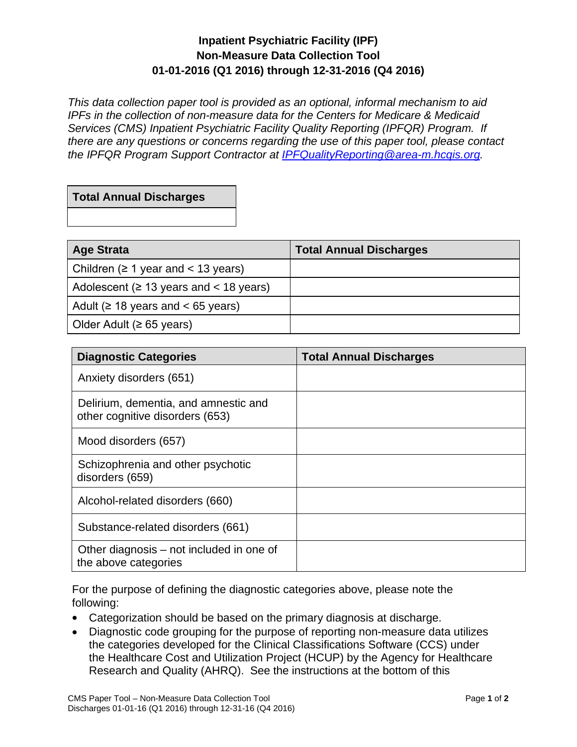## **Inpatient Psychiatric Facility (IPF) Non-Measure Data Collection Tool 01-01-2016 (Q1 2016) through 12-31-2016 (Q4 2016)**

*This data collection paper tool is provided as an optional, informal mechanism to aid IPFs in the collection of non-measure data for the Centers for Medicare & Medicaid Services (CMS) Inpatient Psychiatric Facility Quality Reporting (IPFQR) Program. If there are any questions or concerns regarding the use of this paper tool, please contact the IPFQR Program Support Contractor at [IPFQualityReporting@area-m.hcqis.org.](mailto:IPFQualityReporting@area-m.hcqis.org)* 

## **Total Annual Discharges**

| <b>Age Strata</b>                            | <b>Total Annual Discharges</b> |
|----------------------------------------------|--------------------------------|
| Children ( $\geq 1$ year and $\lt 13$ years) |                                |
| Adolescent ( $\geq$ 13 years and < 18 years) |                                |
| Adult ( $\geq$ 18 years and < 65 years)      |                                |
| Older Adult ( $\geq 65$ years)               |                                |

| <b>Diagnostic Categories</b>                                            | <b>Total Annual Discharges</b> |
|-------------------------------------------------------------------------|--------------------------------|
| Anxiety disorders (651)                                                 |                                |
| Delirium, dementia, and amnestic and<br>other cognitive disorders (653) |                                |
| Mood disorders (657)                                                    |                                |
| Schizophrenia and other psychotic<br>disorders (659)                    |                                |
| Alcohol-related disorders (660)                                         |                                |
| Substance-related disorders (661)                                       |                                |
| Other diagnosis – not included in one of<br>the above categories        |                                |

For the purpose of defining the diagnostic categories above, please note the following:

- Categorization should be based on the primary diagnosis at discharge.
- Diagnostic code grouping for the purpose of reporting non-measure data utilizes the categories developed for the Clinical Classifications Software (CCS) under the Healthcare Cost and Utilization Project (HCUP) by the Agency for Healthcare Research and Quality (AHRQ). See the instructions at the bottom of this